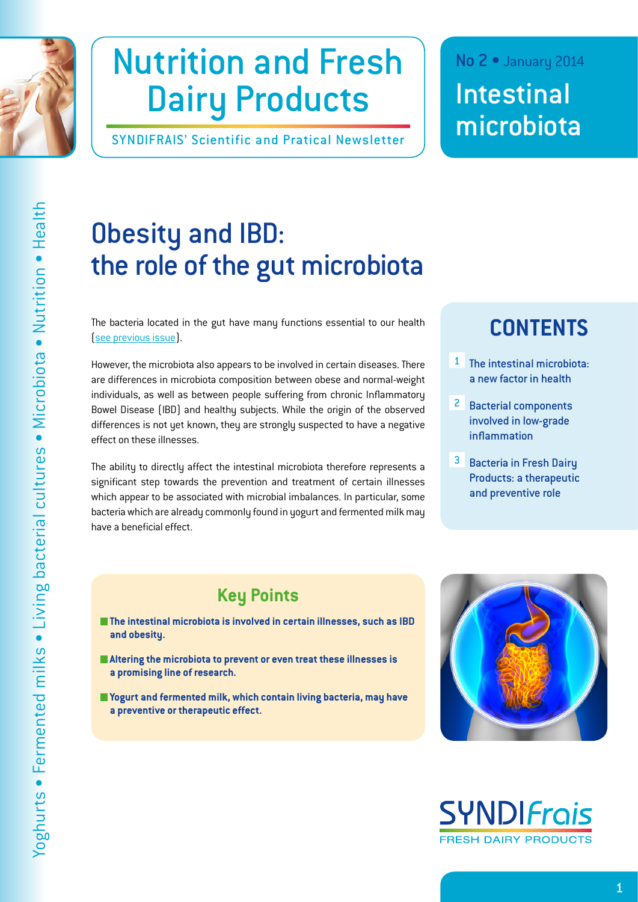

# Nutrition and Fresh Dairy Products

SYNDIFRAIS' Scientific and Pratical Newsletter

# No 2 • January 2014 Intestinal microbiota

# Obesity and IBD: the role of the gut microbiota

The bacteria located in the gut have many functions essential to our health ([see previous issue\)](http://www.syndifrais.com/docs/library/nutrition-and-fresh-dairy-products-no-1.pdf).

However, the microbiota also appears to be involved in certain diseases. There are differences in microbiota composition between obese and normal-weight individuals, as well as between people suffering from chronic Inflammatory Bowel Disease (IBD) and healthy subjects. While the origin of the observed differences is not yet known, they are strongly suspected to have a negative effect on these illnesses.

The ability to directly affect the intestinal microbiota therefore represents a significant step towards the prevention and treatment of certain illnesses which appear to be associated with microbial imbalances. In particular, some bacteria which are already commonly found in yogurt and fermented milk may have a beneficial effect.

# **CONTENTS**

- [1 The intestinal microbiota:](#page-1-0)  a [new factor in health](#page-1-0)
- [2 Bacterial components](#page-3-0)  [involved in low-grade](#page-3-0)  [inflammation](#page-3-0)
- [3 Bacteria in Fresh Dairy](#page-5-0)  [Products: a therapeutic](#page-5-0)  and [preventive role](#page-5-0)

# **Key Points**

- **The intestinal microbiota is involved in certain illnesses, such as IBD and obesity.**
- **Altering the microbiota to prevent or even treat these illnesses is a promising line of research.**
- **Yogurt and fermented milk, which contain living bacteria, may have a preventive or therapeutic effect.**



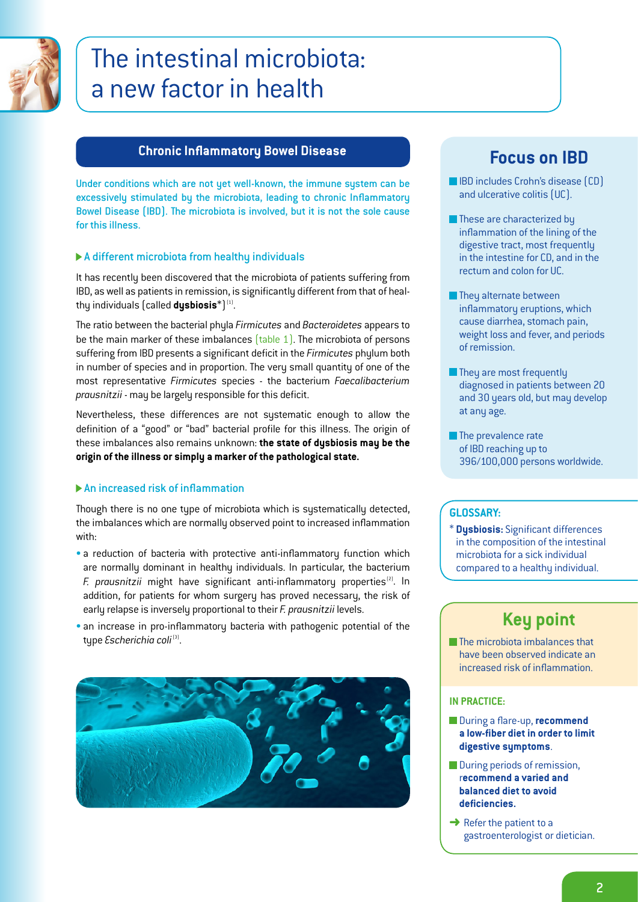<span id="page-1-0"></span>

# The intestinal microbiota: a new factor in health

# **Chronic Inflammatory Bowel Disease**

Under conditions which are not yet well-known, the immune system can be excessively stimulated by the microbiota, leading to chronic Inflammatory Bowel Disease (IBD). The microbiota is involved, but it is not the sole cause for this illness.

### A different microbiota from healthy individuals

It has recently been discovered that the microbiota of patients suffering from IBD, as well as patients in remission, is significantly different from that of healthy individuals (called **dysbiosis**\*) (1).

The ratio between the bacterial phyla *Firmicutes* and *Bacteroidetes* appears to be the main marker of these imbalances  $[table 1]$ . The microbiota of persons suffering from IBD presents a significant deficit in the *Firmicutes* phylum both in number of species and in proportion. The very small quantity of one of the most representative *Firmicutes* species - the bacterium *Faecalibacterium prausnitzii* - may be largely responsible for this deficit.

Nevertheless, these differences are not systematic enough to allow the definition of a "good" or "bad" bacterial profile for this illness. The origin of these imbalances also remains unknown: **the state of dysbiosis may be the origin of the illness or simply a marker of the pathological state.**

### An increased risk of inflammation

Though there is no one type of microbiota which is systematically detected, the imbalances which are normally observed point to increased inflammation with:

- a reduction of bacteria with protective anti-inflammatory function which are normally dominant in healthy individuals. In particular, the bacterium *F. prausnitzii* might have significant anti-inflammatory properties<sup>(2)</sup>. In addition, for patients for whom surgery has proved necessary, the risk of early relapse is inversely proportional to their *F. prausnitzii* levels.
- an increase in pro-inflammatory bacteria with pathogenic potential of the type *Escherichia coli*<sup>(3)</sup>.



# **Focus on IBD**

- **IDED** includes Crohn's disease (CD) and ulcerative colitis (UC).
- $\blacksquare$  These are characterized by inflammation of the lining of the digestive tract, most frequently in the intestine for CD, and in the rectum and colon for UC.
- $\blacksquare$  They alternate between inflammatory eruptions, which cause diarrhea, stomach pain, weight loss and fever, and periods of remission.
- $\blacksquare$  They are most frequently diagnosed in patients between 20 and 30 years old, but may develop at any age.
- $\blacksquare$  The prevalence rate of IBD reaching up to 396/100,000 persons worldwide.

### **GLOSSARY:**

\* **Dysbiosis:** Significant differences in the composition of the intestinal microbiota for a sick individual compared to a healthy individual.

# **Key point**

 $\blacksquare$  The microbiota imbalances that have been observed indicate an increased risk of inflammation.

### **IN PRACTICE:**

- **During a flare-up, recommend a low-fiber diet in order to limit digestive symptoms**.
- **During periods of remission,** r**ecommend a varied and balanced diet to avoid deficiencies.**
- $\rightarrow$  Refer the patient to a gastroenterologist or dietician.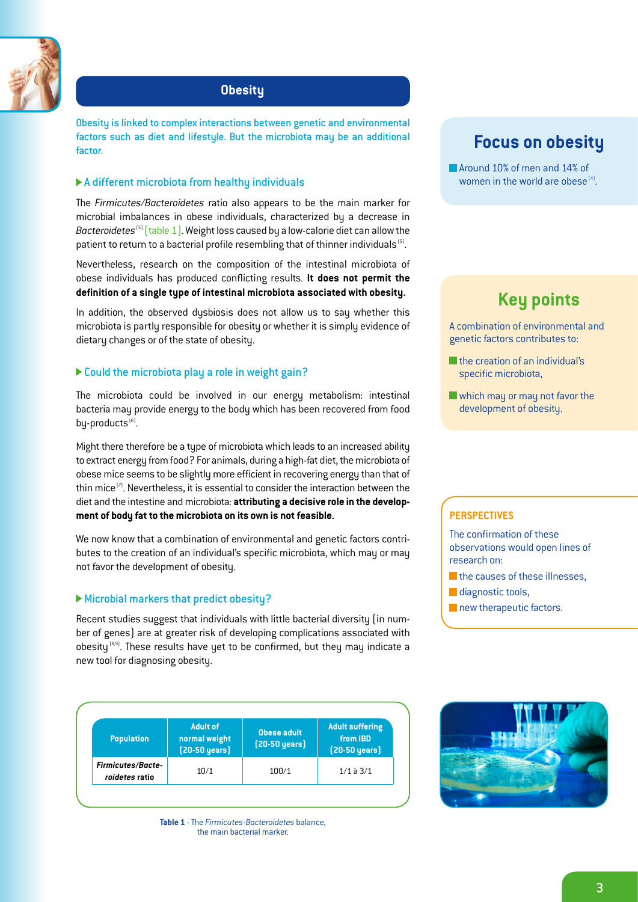

# **Obesity**

Obesity is linked to complex interactions between genetic and environmental factors such as diet and lifestyle. But the microbiota may be an additional factor.

#### A different microbiota from healthy individuals

The *Firmicutes/Bacteroidetes* ratio also appears to be the main marker for microbial imbalances in obese individuals, characterized by a decrease in *Bacteroidetes*<sup>(5)</sup> (table 1). Weight loss caused by a low-calorie diet can allow the patient to return to a bacterial profile resembling that of thinner individuals<sup>[5]</sup>.

Nevertheless, research on the composition of the intestinal microbiota of obese individuals has produced conflicting results. **It does not permit the definition of a single type of intestinal microbiota associated with obesity.**

In addition, the observed dysbiosis does not allow us to say whether this microbiota is partly responsible for obesity or whether it is simply evidence of dietary changes or of the state of obesity.

#### Could the microbiota play a role in weight gain?

The microbiota could be involved in our energy metabolism: intestinal bacteria may provide energy to the body which has been recovered from food by-products $^{(6)}$ .

Might there therefore be a type of microbiota which leads to an increased ability to extract energy from food? For animals, during a high-fat diet, the microbiota of obese mice seems to be slightly more efficient in recovering energy than that of thin mice $(7)$ . Nevertheless, it is essential to consider the interaction between the diet and the intestine and microbiota: **attributing a decisive role in the development of body fat to the microbiota on its own is not feasible.**

We now know that a combination of environmental and genetic factors contributes to the creation of an individual's specific microbiota, which may or may not favor the development of obesity.

#### Microbial markers that predict obesity?

Recent studies suggest that individuals with little bacterial diversity (in number of genes) are at greater risk of developing complications associated with obesity  $(8,9)$ . These results have yet to be confirmed, but they may indicate a new tool for diagnosing obesity.



**Table 1** - The *Firmicutes*-*Bacteroidetes* balance, the main bacterial marker.

# **Focus on obesity**

**Around 10% of men and 14% of** women in the world are obese $^{(4)}$ .

# **Key points**

A combination of environmental and genetic factors contributes to:

- **In the creation of an individual's** specific microbiota,
- **Notai** which may or may not favor the development of obesity.

### **PERSPECTIVES**

The confirmation of these observations would open lines of research on:

- the causes of these illnesses,
- diagnostic tools,
- new therapeutic factors.

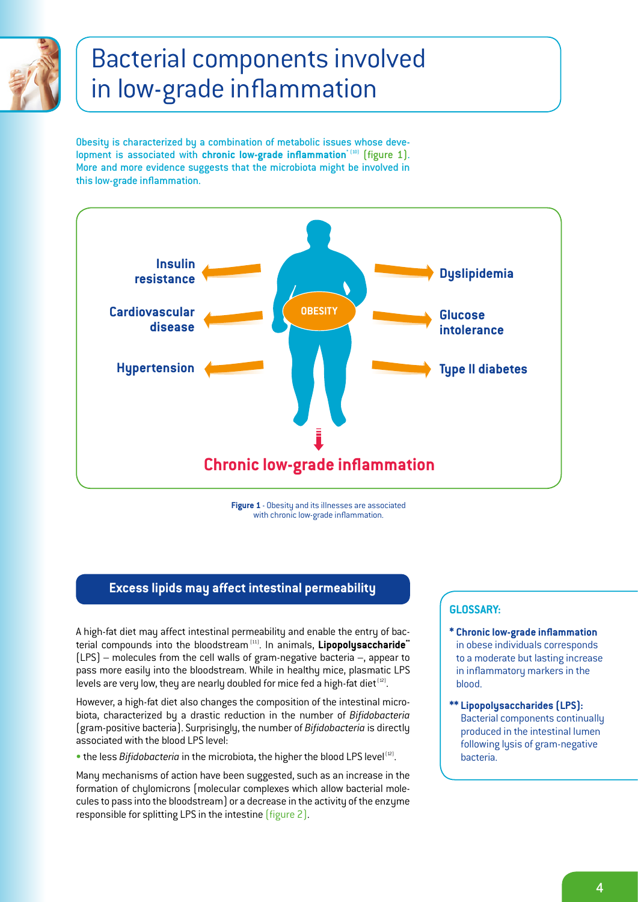<span id="page-3-0"></span>

# Bacterial components involved in low-grade inflammation

Obesity is characterized by a combination of metabolic issues whose development is associated with **chronic low-grade inflammation**<sup>\* (10)</sup> (figure 1). More and more evidence suggests that the microbiota might be involved in this low-grade inflammation.



**Figure 1** - Obesity and its illnesses are associated with chronic low-grade inflammation.

# **Excess lipids may affect intestinal permeability**

A high-fat diet may affect intestinal permeability and enable the entry of bacterial compounds into the bloodstream<sup>(11)</sup>. In animals, **Lipopolysaccharide**" (LPS) – molecules from the cell walls of gram-negative bacteria –, appear to pass more easily into the bloodstream. While in healthy mice, plasmatic LPS levels are very low, they are nearly doubled for mice fed a high-fat diet<sup>(12)</sup>.

However, a high-fat diet also changes the composition of the intestinal microbiota, characterized by a drastic reduction in the number of *Bifidobacteria* (gram-positive bacteria). Surprisingly, the number of *Bifidobacteria* is directly associated with the blood LPS level:

• the less *Bifidobacteria* in the microbiota, the higher the blood LPS level<sup>(12)</sup>.

Many mechanisms of action have been suggested, such as an increase in the formation of chylomicrons (molecular complexes which allow bacterial molecules to pass into the bloodstream) or a decrease in the activity of the enzyme responsible for splitting LPS in the intestine (figure 2).

## **GLOSSARY:**

- **\* Chronic low-grade inflammation** in obese individuals corresponds to a moderate but lasting increase in inflammatory markers in the blood.
- **\*\* Lipopolysaccharides (LPS):** Bacterial components continually produced in the intestinal lumen following lysis of gram-negative bacteria.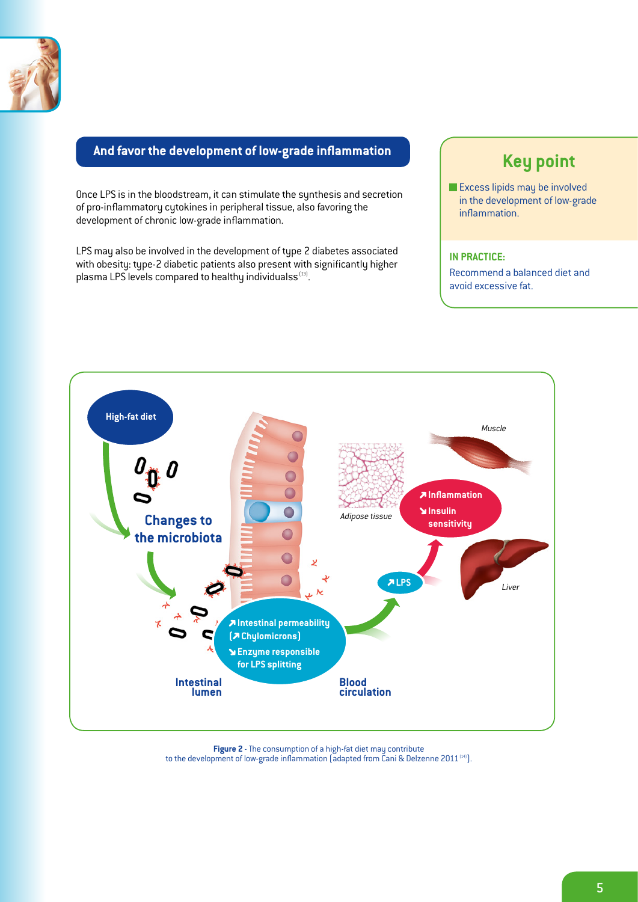

# **And favor the development of low-grade inflammation**

Once LPS is in the bloodstream, it can stimulate the synthesis and secretion of pro-inflammatory cytokines in peripheral tissue, also favoring the development of chronic low-grade inflammation.

LPS may also be involved in the development of type 2 diabetes associated with obesity: type-2 diabetic patients also present with significantly higher plasma LPS levels compared to healthy individualss<sup>(13)</sup>.

# **Key point**

**Excess lipids may be involved** in the development of low-grade inflammation.

## **IN PRACTICE:**

Recommend a balanced diet and avoid excessive fat.



**Figure 2** - The consumption of a high-fat diet may contribute to the development of low-grade inflammation (adapted from Cani & Delzenne 2011 $^{\text{\tiny{[4]}})}.$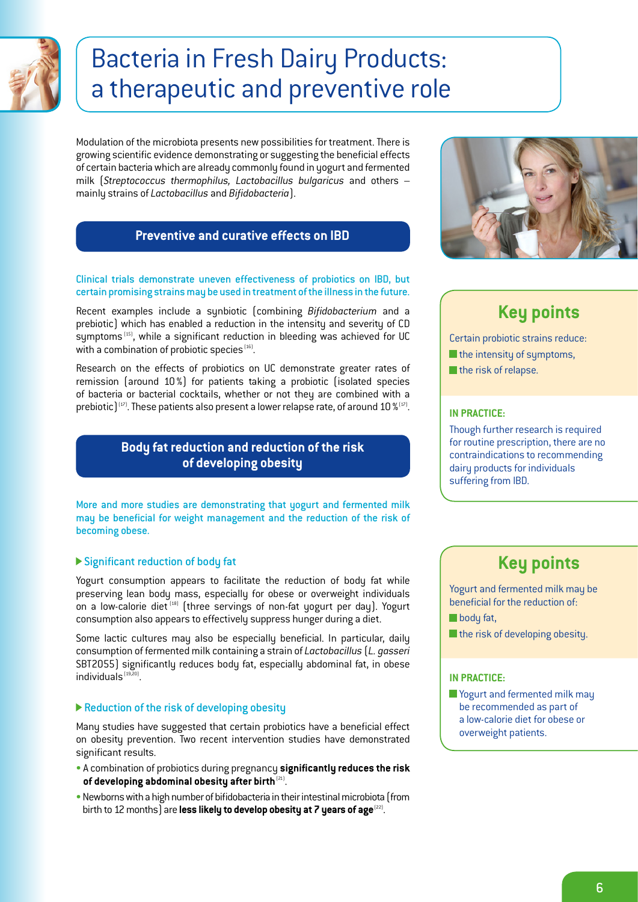<span id="page-5-0"></span>

# Bacteria in Fresh Dairy Products: a therapeutic and preventive role

Modulation of the microbiota presents new possibilities for treatment. There is growing scientific evidence demonstrating or suggesting the beneficial effects of certain bacteria which are already commonly found in yogurt and fermented milk (*Streptococcus thermophilus, Lactobacillus bulgaricus* and others – mainly strains of *Lactobacillus* and *Bifidobacteria*).

# **Preventive and curative effects on IBD**

#### Clinical trials demonstrate uneven effectiveness of probiotics on IBD, but certain promising strains may be used in treatment of the illness in the future.

Recent examples include a synbiotic (combining *Bifidobacterium* and a prebiotic) which has enabled a reduction in the intensity and severity of CD symptoms<sup>(15)</sup>, while a significant reduction in bleeding was achieved for UC with a combination of probiotic species (16).

Research on the effects of probiotics on UC demonstrate greater rates of remission (around 10%) for patients taking a probiotic (isolated species of bacteria or bacterial cocktails, whether or not they are combined with a prebiotic)<sup>(17)</sup>. These patients also present a lower relapse rate, of around 10  $\frac{10}{12}$ .

# **Body fat reduction and reduction of the risk of developing obesity**

More and more studies are demonstrating that yogurt and fermented milk may be beneficial for weight management and the reduction of the risk of becoming obese.

### ▶ Significant reduction of body fat

Yogurt consumption appears to facilitate the reduction of body fat while preserving lean body mass, especially for obese or overweight individuals on a low-calorie diet  $^{(18)}$  (three servings of non-fat uogurt per day). Yogurt consumption also appears to effectively suppress hunger during a diet.

Some lactic cultures may also be especially beneficial. In particular, daily consumption of fermented milk containing a strain of *Lactobacillus* (*L. gasseri* SBT2055) significantly reduces body fat, especially abdominal fat, in obese  $individuals<sup>(19,20)</sup>$ .

### ▶ Reduction of the risk of developing obesity

Many studies have suggested that certain probiotics have a beneficial effect on obesity prevention. Two recent intervention studies have demonstrated significant results.

- A combination of probiotics during pregnancy **significantly reduces the risk of developing abdominal obesity after birth**(21).
- Newborns with a high number of bifidobacteria in their intestinal microbiota (from birth to 12 months) are **less likely to develop obesity at 7 years of age**<sup>(22)</sup>.



# **Key points**

Certain probiotic strains reduce:

- $\blacksquare$  the intensity of symptoms,
- **T** the risk of relapse.

### **IN PRACTICE:**

Though further research is required for routine prescription, there are no contraindications to recommending dairy products for individuals suffering from IBD.

# **Key points**

Yogurt and fermented milk may be beneficial for the reduction of:

**body** fat,

 $\blacksquare$  the risk of developing obesity.

#### **IN PRACTICE:**

Yogurt and fermented milk may be recommended as part of a low-calorie diet for obese or overweight patients.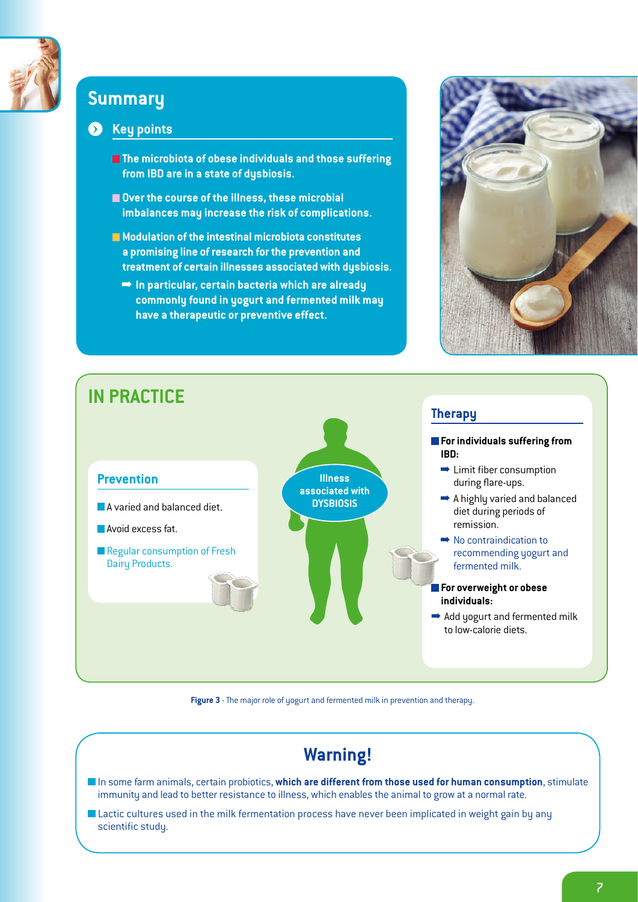

# **Summary**

#### **Key points**  $\left( \sum_{i=1}^{n} a_i \right)$

- **The microbiota of obese individuals and those suffering from IBD are in a state of dysbiosis.**
- **Over the course of the illness, these microbial imbalances may increase the risk of complications.**
- **Modulation of the intestinal microbiota constitutes a promising line of research for the prevention and treatment of certain illnesses associated with dysbiosis.** 
	- ➡ **In particular, certain bacteria which are already commonly found in yogurt and fermented milk may have a therapeutic or preventive effect.**





**Figure 3** - The major role of yogurt and fermented milk in prevention and therapy.